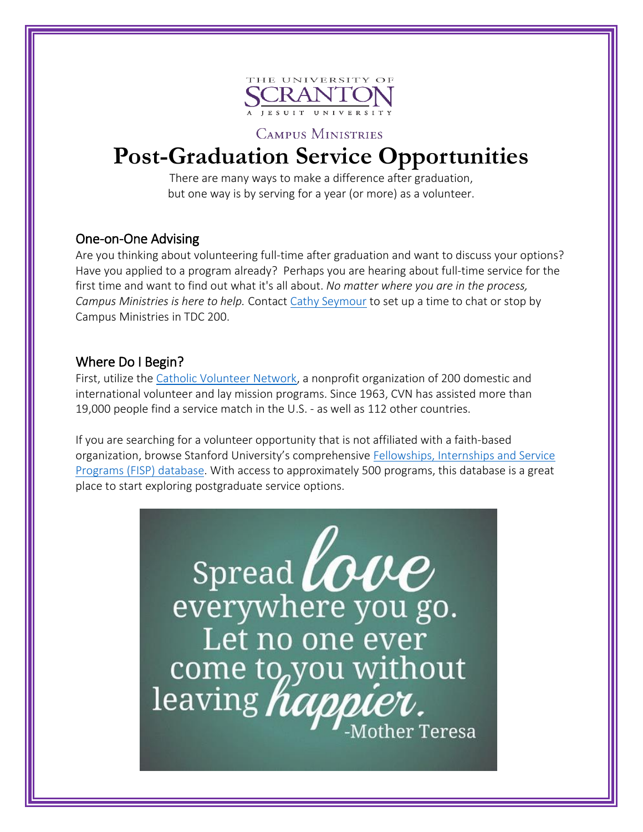

**CAMPUS MINISTRIES** 

# **Post-Graduation Service Opportunities**

There are many ways to make a difference after graduation, but one way is by serving for a year (or more) as a volunteer.

# One-on-One Advising

Are you thinking about volunteering full-time after graduation and want to discuss your options? Have you applied to a program already? Perhaps you are hearing about full-time service for the first time and want to find out what it's all about. *No matter where you are in the process, Campus Ministries is here to help.* Contact [Cathy Seymour](mailto:catherine.seymour@scranton.edu?subject=Post-grad%20service) to set up a time to chat or stop by Campus Ministries in TDC 200.

# Where Do I Begin?

First, utilize the [Catholic Volunteer Network,](https://catholicvolunteernetwork.org/about-us) a nonprofit organization of 200 domestic and international volunteer and lay mission programs. Since 1963, CVN has assisted more than 19,000 people find a service match in the U.S. - as well as 112 other countries.

If you are searching for a volunteer opportunity that is not affiliated with a faith-based organization, browse Stanford University's comprehensive [Fellowships, Internships and Service](https://fisp.stanford.edu/)  [Programs \(FISP\) database.](https://fisp.stanford.edu/) With access to approximately 500 programs, this database is a great place to start exploring postgraduate service options.

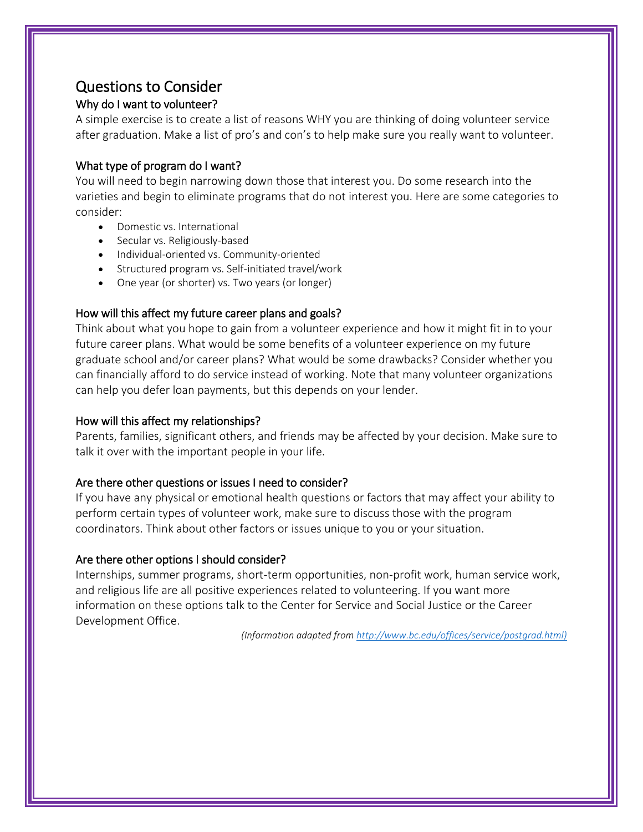# Questions to Consider

## Why do I want to volunteer?

A simple exercise is to create a list of reasons WHY you are thinking of doing volunteer service after graduation. Make a list of pro's and con's to help make sure you really want to volunteer.

#### What type of program do I want?

You will need to begin narrowing down those that interest you. Do some research into the varieties and begin to eliminate programs that do not interest you. Here are some categories to consider:

- Domestic vs. International
- Secular vs. Religiously-based
- Individual-oriented vs. Community-oriented
- Structured program vs. Self-initiated travel/work
- One year (or shorter) vs. Two years (or longer)

#### How will this affect my future career plans and goals?

Think about what you hope to gain from a volunteer experience and how it might fit in to your future career plans. What would be some benefits of a volunteer experience on my future graduate school and/or career plans? What would be some drawbacks? Consider whether you can financially afford to do service instead of working. Note that many volunteer organizations can help you defer loan payments, but this depends on your lender.

#### How will this affect my relationships?

Parents, families, significant others, and friends may be affected by your decision. Make sure to talk it over with the important people in your life.

#### Are there other questions or issues I need to consider?

If you have any physical or emotional health questions or factors that may affect your ability to perform certain types of volunteer work, make sure to discuss those with the program coordinators. Think about other factors or issues unique to you or your situation.

#### Are there other options I should consider?

Internships, summer programs, short-term opportunities, non-profit work, human service work, and religious life are all positive experiences related to volunteering. If you want more information on these options talk to the Center for Service and Social Justice or the Career Development Office.

*(Information adapted from [http://www.bc.edu/offices/service/postgrad.html\)](http://www.bc.edu/offices/service/postgrad.html)*